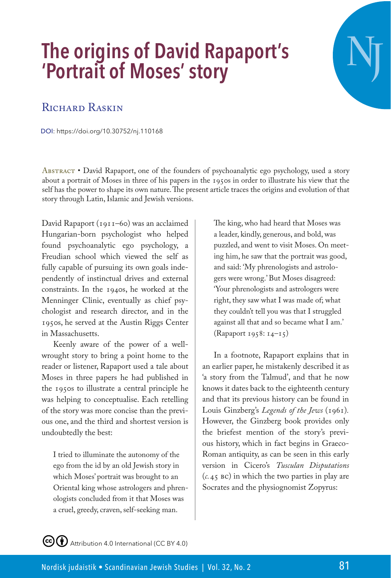## **The origins of David Rapaport's 'Portrait of Moses' story**

## RICHARD RASKIN

DOI: https://doi.org/10.30752/nj.110168

Abstract • David Rapaport, one of the founders of psychoanalytic ego psychology, used a story about a portrait of Moses in three of his papers in the 1950s in order to illustrate his view that the self has the power to shape its own nature. The present article traces the origins and evolution of that story through Latin, Islamic and Jewish versions.

David Rapaport (1911–60) was an acclaimed Hungarian-born psychologist who helped found psychoanalytic ego psychology, a Freudian school which viewed the self as fully capable of pursuing its own goals independently of instinctual drives and external constraints. In the 1940s, he worked at the Menninger Clinic, eventually as chief psychologist and research director, and in the 1950s, he served at the Austin Riggs Center in Massachusetts.

Keenly aware of the power of a wellwrought story to bring a point home to the reader or listener, Rapaport used a tale about Moses in three papers he had published in the 1950s to illustrate a central principle he was helping to conceptualise. Each retelling of the story was more concise than the previous one, and the third and shortest version is undoubtedly the best:

I tried to illuminate the autonomy of the ego from the id by an old Jewish story in which Moses' portrait was brought to an Oriental king whose astrologers and phrenologists concluded from it that Moses was a cruel, greedy, craven, self-seeking man.

The king, who had heard that Moses was a leader, kindly, generous, and bold, was puzzled, and went to visit Moses. On meeting him, he saw that the portrait was good, and said: 'My phrenologists and astrologers were wrong.' But Moses disagreed: 'Your phrenologists and astrologers were right, they saw what I was made of; what they couldn't tell you was that I struggled against all that and so became what I am.' (Rapaport 1958: 14–15)

In a footnote, Rapaport explains that in an earlier paper, he mistakenly described it as 'a story from the Talmud', and that he now knows it dates back to the eighteenth century and that its previous history can be found in Louis Ginzberg's *Legends of the Jews* (1961)*.* However, the Ginzberg book provides only the briefest mention of the story's previous history, which in fact begins in Graeco-Roman antiquity, as can be seen in this early version in Cicero's *Tusculan Disputations* (*c.*45 bc) in which the two parties in play are Socrates and the physiognomist Zopyrus:

CC  $\bigodot$  Attribution 4.0 International (CC BY 4.0)

**NJ**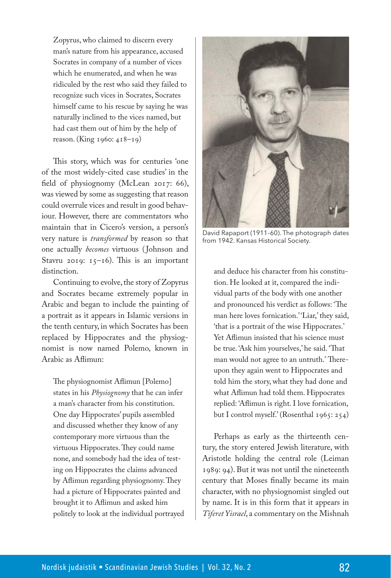Zopyrus, who claimed to discern every man's nature from his appearance, accused Socrates in company of a number of vices which he enumerated, and when he was ridiculed by the rest who said they failed to recognize such vices in Socrates, Socrates himself came to his rescue by saying he was naturally inclined to the vices named, but had cast them out of him by the help of reason. (King 1960: 418–19)

This story, which was for centuries 'one of the most widely-cited case studies' in the field of physiognomy (McLean 2017: 66), was viewed by some as suggesting that reason could overrule vices and result in good behaviour. However, there are commentators who maintain that in Cicero's version, a person's very nature is *transformed* by reason so that one actually *becomes* virtuous ( Johnson and Stavru 2019: 15–16). This is an important distinction.

Continuing to evolve, the story of Zopyrus and Socrates became extremely popular in Arabic and began to include the painting of a portrait as it appears in Islamic versions in the tenth century, in which Socrates has been replaced by Hippocrates and the physiognomist is now named Polemo, known in Arabic as Aflimun:

The physiognomist Aflimun [Polemo] states in his *Physiognomy* that he can infer a man's character from his constitution. One day Hippocrates' pupils assembled and discussed whether they know of any contemporary more virtuous than the virtuous Hippocrates. They could name none, and somebody had the idea of testing on Hippocrates the claims advanced by Aflimun regarding physiognomy. They had a picture of Hippocrates painted and brought it to Aflimun and asked him politely to look at the individual portrayed



David Rapaport (1911–60). The photograph dates from 1942. Kansas Historical Society.

and deduce his character from his constitution. He looked at it, compared the individual parts of the body with one another and pronounced his verdict as follows: 'The man here loves fornication.' 'Liar,' they said, 'that is a portrait of the wise Hippocrates.' Yet Aflimun insisted that his science must be true. 'Ask him yourselves,' he said. 'That man would not agree to an untruth.' Thereupon they again went to Hippocrates and told him the story, what they had done and what Aflimun had told them. Hippocrates replied: 'Aflimun is right. I love fornication, but I control myself.' (Rosenthal 1965: 254)

Perhaps as early as the thirteenth century, the story entered Jewish literature, with Aristotle holding the central role (Leiman 1989: 94). But it was not until the nineteenth century that Moses finally became its main character, with no physiognomist singled out by name. It is in this form that it appears in *Tiferet Yisrael*, a commentary on the Mishnah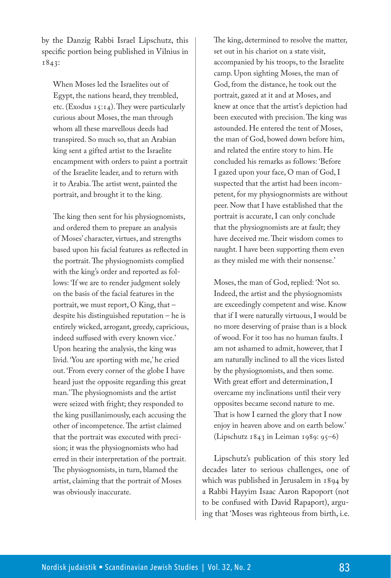by the Danzig Rabbi Israel Lipschutz, this specific portion being published in Vilnius in 1843:

When Moses led the Israelites out of Egypt, the nations heard, they trembled, etc. (Exodus  $15:14$ ). They were particularly curious about Moses, the man through whom all these marvellous deeds had transpired. So much so, that an Arabian king sent a gifted artist to the Israelite encampment with orders to paint a portrait of the Israelite leader, and to return with it to Arabia. The artist went, painted the portrait, and brought it to the king.

The king then sent for his physiognomists, and ordered them to prepare an analysis of Moses' character, virtues, and strengths based upon his facial features as reflected in the portrait. The physiognomists complied with the king's order and reported as follows: 'If we are to render judgment solely on the basis of the facial features in the portrait, we must report, O King, that – despite his distinguished reputation – he is entirely wicked, arrogant, greedy, capricious, indeed suffused with every known vice.' Upon hearing the analysis, the king was livid. 'You are sporting with me,' he cried out. 'From every corner of the globe I have heard just the opposite regarding this great man.' The physiognomists and the artist were seized with fright; they responded to the king pusillanimously, each accusing the other of incompetence. The artist claimed that the portrait was executed with precision; it was the physiognomists who had erred in their interpretation of the portrait. The physiognomists, in turn, blamed the artist, claiming that the portrait of Moses was obviously inaccurate.

The king, determined to resolve the matter, set out in his chariot on a state visit, accompanied by his troops, to the Israelite camp. Upon sighting Moses, the man of God, from the distance, he took out the portrait, gazed at it and at Moses, and knew at once that the artist's depiction had been executed with precision. The king was astounded. He entered the tent of Moses, the man of God, bowed down before him, and related the entire story to him. He concluded his remarks as follows: 'Before I gazed upon your face, O man of God, I suspected that the artist had been incompetent, for my physiognormists are without peer. Now that I have established that the portrait is accurate, I can only conclude that the physiognomists are at fault; they have deceived me. Their wisdom comes to naught. I have been supporting them even as they misled me with their nonsense.'

Moses, the man of God, replied: 'Not so. Indeed, the artist and the physiognomists are exceedingly competent and wise. Know that if I were naturally virtuous, I would be no more deserving of praise than is a block of wood. For it too has no human faults. I am not ashamed to admit, however, that I am naturally inclined to all the vices listed by the physiognomists, and then some. With great effort and determination, I overcame my inclinations until their very opposites became second nature to me. That is how I earned the glory that I now enjoy in heaven above and on earth below.' (Lipschutz 1843 in Leiman 1989: 95–6)

Lipschutz's publication of this story led decades later to serious challenges, one of which was published in Jerusalem in 1894 by a Rabbi Hayyim Isaac Aaron Rapoport (not to be confused with David Rapaport), arguing that 'Moses was righteous from birth, i.e.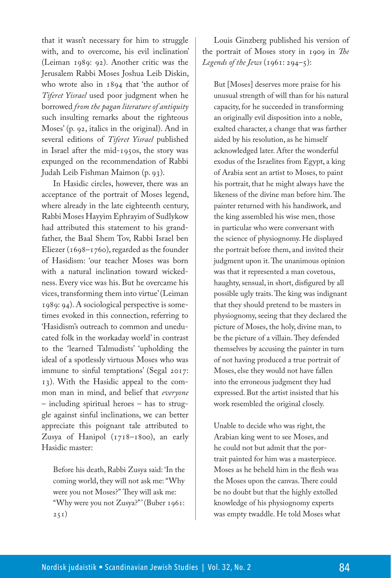that it wasn't necessary for him to struggle with, and to overcome, his evil inclination' (Leiman 1989: 92). Another critic was the Jerusalem Rabbi Moses Joshua Leib Diskin, who wrote also in 1894 that 'the author of *Tiferet Yisrael* used poor judgment when he borrowed *from the pagan literature of antiquity* such insulting remarks about the righteous Moses' (p. 92, italics in the original). And in several editions of *Tiferet Yisrael* published in Israel after the mid-1950s, the story was expunged on the recommendation of Rabbi Judah Leib Fishman Maimon (p. 93).

In Hasidic circles, however, there was an acceptance of the portrait of Moses legend, where already in the late eighteenth century, Rabbi Moses Hayyim Ephrayim of Sudlykow had attributed this statement to his grandfather, the Baal Shem Tov, Rabbi Israel ben Eliezer (1698–1760), regarded as the founder of Hasidism: 'our teacher Moses was born with a natural inclination toward wickedness. Every vice was his. But he overcame his vices, transforming them into virtue' (Leiman 1989: 94). A sociological perspective is sometimes evoked in this connection, referring to 'Hasidism's outreach to common and uneducated folk in the workaday world' in contrast to the 'learned Talmudists' 'upholding the ideal of a spotlessly virtuous Moses who was immune to sinful temptations' (Segal 2017: 13). With the Hasidic appeal to the common man in mind, and belief that *everyone* – including spiritual heroes – has to struggle against sinful inclinations, we can better appreciate this poignant tale attributed to Zusya of Hanipol (1718–1800), an early Hasidic master:

Before his death, Rabbi Zusya said: 'In the coming world, they will not ask me: "Why were you not Moses?" They will ask me: "Why were you not Zusya?"' (Buber 1961:  $251)$ 

Louis Ginzberg published his version of the portrait of Moses story in 1909 in *The Legends of the Jews* (1961: 294–5):

But [Moses] deserves more praise for his unusual strength of will than for his natural capacity, for he succeeded in transforming an originally evil disposition into a noble, exalted character, a change that was farther aided by his resolution, as he himself acknowledged later. After the wonderful exodus of the Israelites from Egypt, a king of Arabia sent an artist to Moses, to paint his portrait, that he might always have the likeness of the divine man before him. The painter returned with his handiwork, and the king assembled his wise men, those in particular who were conversant with the science of physiognomy. He displayed the portrait before them, and invited their judgment upon it. The unanimous opinion was that it represented a man covetous, haughty, sensual, in short, disfigured by all possible ugly traits. The king was indignant that they should pretend to be masters in physiognomy, seeing that they declared the picture of Moses, the holy, divine man, to be the picture of a villain. They defended themselves by accusing the painter in turn of not having produced a true portrait of Moses, else they would not have fallen into the erroneous judgment they had expressed. But the artist insisted that his work resembled the original closely.

Unable to decide who was right, the Arabian king went to see Moses, and he could not but admit that the portrait painted for him was a masterpiece. Moses as he beheld him in the flesh was the Moses upon the canvas. There could be no doubt but that the highly extolled knowledge of his physiognomy experts was empty twaddle. He told Moses what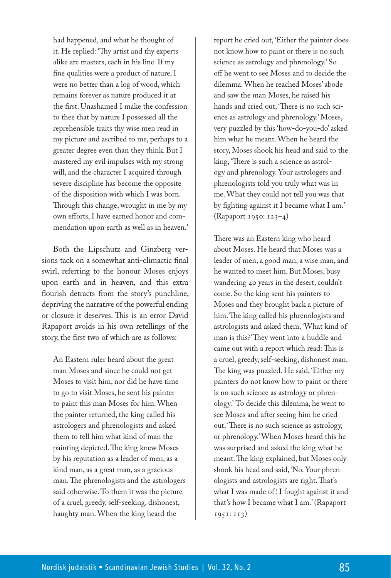had happened, and what he thought of it. He replied: 'Thy artist and thy experts alike are masters, each in his line. If my fine qualities were a product of nature, I were no better than a log of wood, which remains forever as nature produced it at the first. Unashamed I make the confession to thee that by nature I possessed all the reprehensible traits thy wise men read in my picture and ascribed to me, perhaps to a greater degree even than they think. But I mastered my evil impulses with my strong will, and the character I acquired through severe discipline has become the opposite of the disposition with which I was born. Through this change, wrought in me by my own efforts, I have earned honor and commendation upon earth as well as in heaven.'

Both the Lipschutz and Ginzberg versions tack on a somewhat anti-climactic final swirl, referring to the honour Moses enjoys upon earth and in heaven, and this extra flourish detracts from the story's punchline, depriving the narrative of the powerful ending or closure it deserves. This is an error David Rapaport avoids in his own retellings of the story, the first two of which are as follows:

An Eastern ruler heard about the great man Moses and since he could not get Moses to visit him, nor did he have time to go to visit Moses, he sent his painter to paint this man Moses for him. When the painter returned, the king called his astrologers and phrenologists and asked them to tell him what kind of man the painting depicted. The king knew Moses by his reputation as a leader of men, as a kind man, as a great man, as a gracious man. The phrenologists and the astrologers said otherwise. To them it was the picture of a cruel, greedy, self-seeking, dishonest, haughty man. When the king heard the

report he cried out, 'Either the painter does not know how to paint or there is no such science as astrology and phrenology.' So off he went to see Moses and to decide the dilemma. When he reached Moses' abode and saw the man Moses, he raised his hands and cried out, 'There is no such science as astrology and phrenology.' Moses, very puzzled by this 'how-do-you-do' asked him what he meant. When he heard the story, Moses shook his head and said to the king, 'There is such a science as astrology and phrenology. Your astrologers and phrenologists told you truly what was in me. What they could not tell you was that by fighting against it I became what I am.' (Rapaport 1950: 123–4)

There was an Eastern king who heard about Moses. He heard that Moses was a leader of men, a good man, a wise man, and he wanted to meet him. But Moses, busy wandering 40 years in the desert, couldn't come. So the king sent his painters to Moses and they brought back a picture of him. The king called his phrenologists and astrologists and asked them, 'What kind of man is this?' They went into a huddle and came out with a report which read: This is a cruel, greedy, self-seeking, dishonest man. The king was puzzled. He said, 'Either my painters do not know how to paint or there is no such science as astrology or phrenology.' To decide this dilemma, he went to see Moses and after seeing him he cried out, 'There is no such science as astrology, or phrenology.' When Moses heard this he was surprised and asked the king what he meant. The king explained, but Moses only shook his head and said, 'No. Your phrenologists and astrologists are right. That's what I was made of! I fought against it and that's how I became what I am.' (Rapaport 1951: 113)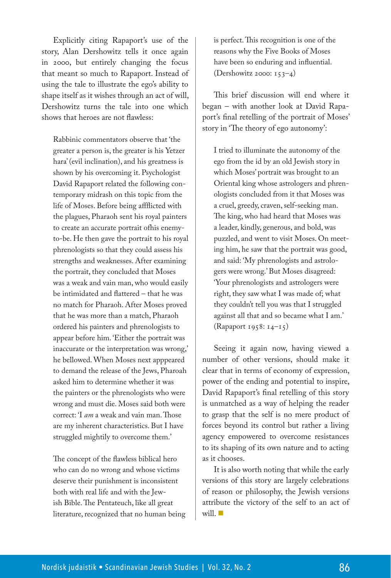Explicitly citing Rapaport's use of the story, Alan Dershowitz tells it once again in 2000, but entirely changing the focus that meant so much to Rapaport. Instead of using the tale to illustrate the ego's ability to shape itself as it wishes through an act of will, Dershowitz turns the tale into one which shows that heroes are not flawless:

Rabbinic commentators observe that 'the greater a person is, the greater is his Yetzer hara' (evil inclination), and his greatness is shown by his overcoming it. Psychologist David Rapaport related the following contemporary midrash on this topic from the life of Moses. Before being affflicted with the plagues, Pharaoh sent his royal painters to create an accurate portrait ofhis enemyto-be. He then gave the portrait to his royal phrenologists so that they could assess his strengths and weaknesses. After examining the portrait, they concluded that Moses was a weak and vain man, who would easily be intimidated and flattered – that he was no match for Pharaoh. After Moses proved that he was more than a match, Pharaoh ordered his painters and phrenologists to appear before him. 'Either the portrait was inaccurate or the interpretation was wrong,' he bellowed. When Moses next apppeared to demand the release of the Jews, Pharoah asked him to determine whether it was the painters or the phrenologists who were wrong and must die. Moses said both were correct: 'I *am* a weak and vain man. Those are my inherent characteristics. But I have struggled mightily to overcome them.'

The concept of the flawless biblical hero who can do no wrong and whose victims deserve their punishment is inconsistent both with real life and with the Jewish Bible. The Pentateuch, like all great literature, recognized that no human being is perfect. This recognition is one of the reasons why the Five Books of Moses have been so enduring and influential. (Dershowitz 2000: 153–4)

This brief discussion will end where it began – with another look at David Rapaport's final retelling of the portrait of Moses' story in 'The theory of ego autonomy':

I tried to illuminate the autonomy of the ego from the id by an old Jewish story in which Moses' portrait was brought to an Oriental king whose astrologers and phrenologists concluded from it that Moses was a cruel, greedy, craven, self-seeking man. The king, who had heard that Moses was a leader, kindly, generous, and bold, was puzzled, and went to visit Moses. On meeting him, he saw that the portrait was good, and said: 'My phrenologists and astrologers were wrong.' But Moses disagreed: 'Your phrenologists and astrologers were right, they saw what I was made of; what they couldn't tell you was that I struggled against all that and so became what I am.' (Rapaport 1958: 14–15)

Seeing it again now, having viewed a number of other versions, should make it clear that in terms of economy of expression, power of the ending and potential to inspire, David Rapaport's final retelling of this story is unmatched as a way of helping the reader to grasp that the self is no mere product of forces beyond its control but rather a living agency empowered to overcome resistances to its shaping of its own nature and to acting as it chooses.

It is also worth noting that while the early versions of this story are largely celebrations of reason or philosophy, the Jewish versions attribute the victory of the self to an act of will.  $\blacksquare$